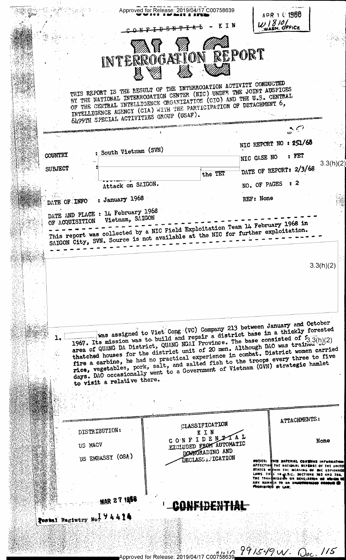|                |                                                                                                                                                                  | Approved for Release: 2019/04/17 C00758639                                                                                                                                                                                                                                                                                                                                                                                                                                                                                                                                                                                  | τN                                                              | APR 1 0 1966<br>$W$ $810$<br>WWASH, OFFICE                                                                             |                      |
|----------------|------------------------------------------------------------------------------------------------------------------------------------------------------------------|-----------------------------------------------------------------------------------------------------------------------------------------------------------------------------------------------------------------------------------------------------------------------------------------------------------------------------------------------------------------------------------------------------------------------------------------------------------------------------------------------------------------------------------------------------------------------------------------------------------------------------|-----------------------------------------------------------------|------------------------------------------------------------------------------------------------------------------------|----------------------|
|                |                                                                                                                                                                  | INTERROGATION REPORT                                                                                                                                                                                                                                                                                                                                                                                                                                                                                                                                                                                                        |                                                                 |                                                                                                                        |                      |
|                |                                                                                                                                                                  | THIS REPORT IS THE RESULT OF THE INTERROGATION ACTIVITY CONDUCTED<br>BY THE NATIONAL INTERROGATION CENTER (NIC) UNDER THE JOINT AUSFICES<br>OF THE CENTRAL INTELLIGENCE ORGANIZATION (CIO) AND THE U.S. CENTRAL<br>INTELLIGENCE AGENCY (CIA) WITH THE PARTICIPATION OF DETACHMENT 6,<br>6499TH SPECIAL ACTIVITIES GROUP (USAF).                                                                                                                                                                                                                                                                                             |                                                                 |                                                                                                                        |                      |
|                |                                                                                                                                                                  |                                                                                                                                                                                                                                                                                                                                                                                                                                                                                                                                                                                                                             |                                                                 |                                                                                                                        |                      |
|                |                                                                                                                                                                  |                                                                                                                                                                                                                                                                                                                                                                                                                                                                                                                                                                                                                             |                                                                 | NIC REPORT NO : 251/68                                                                                                 |                      |
| COUNTRY        |                                                                                                                                                                  | : South Vietnam (SVN)                                                                                                                                                                                                                                                                                                                                                                                                                                                                                                                                                                                                       |                                                                 | NIC CASE NO                                                                                                            | : FET<br>3.3(h)(2)   |
| <b>SUBJECT</b> |                                                                                                                                                                  |                                                                                                                                                                                                                                                                                                                                                                                                                                                                                                                                                                                                                             | the TET                                                         | DATE OF REPORT: 2/3/68                                                                                                 |                      |
|                |                                                                                                                                                                  | Attack on SAIGON.                                                                                                                                                                                                                                                                                                                                                                                                                                                                                                                                                                                                           |                                                                 | NO. OF PAGES : 2                                                                                                       |                      |
|                | DATE OF INFO : January 1968                                                                                                                                      |                                                                                                                                                                                                                                                                                                                                                                                                                                                                                                                                                                                                                             |                                                                 | REF: None                                                                                                              |                      |
|                | DATE AND PLACE : 14 February 1968<br>OF ACQUISITION Vietnam, SAIGON                                                                                              |                                                                                                                                                                                                                                                                                                                                                                                                                                                                                                                                                                                                                             |                                                                 |                                                                                                                        |                      |
|                | This report was collected by a NIC Field Exploitation Team 14 February 1968 in<br>SAIGON City, SVN. Source is not available at the NIC for further exploitation. |                                                                                                                                                                                                                                                                                                                                                                                                                                                                                                                                                                                                                             |                                                                 |                                                                                                                        |                      |
|                |                                                                                                                                                                  |                                                                                                                                                                                                                                                                                                                                                                                                                                                                                                                                                                                                                             |                                                                 |                                                                                                                        | 3.3(h)(2)            |
|                |                                                                                                                                                                  |                                                                                                                                                                                                                                                                                                                                                                                                                                                                                                                                                                                                                             |                                                                 |                                                                                                                        |                      |
|                | to visit a relative there.                                                                                                                                       | was assigned to Viet Cong (VC) Company 213 between January and October<br>1967. Its mission was to build and repair a district base in a thickly forested<br>1707. The base consisted of 5.3(h)(2) area of QUANG DA District, QUANG NGAI Province. The base consisted of 5.3(h)(2)<br>that ched houses for the district unit of 20 men. Although DAO was trained by<br>fire a carbine, he had no practical experience in combat. District women carried<br>rice, vegetables, pork, salt, and salted fish to the troops every three to five<br>days. DAO occasionally went to a Government of Vietnam (GVN) strategic hamlet |                                                                 |                                                                                                                        |                      |
|                |                                                                                                                                                                  |                                                                                                                                                                                                                                                                                                                                                                                                                                                                                                                                                                                                                             |                                                                 |                                                                                                                        |                      |
|                |                                                                                                                                                                  |                                                                                                                                                                                                                                                                                                                                                                                                                                                                                                                                                                                                                             |                                                                 |                                                                                                                        |                      |
|                | DISTRIBUTION:<br>US MACV                                                                                                                                         |                                                                                                                                                                                                                                                                                                                                                                                                                                                                                                                                                                                                                             | CLASSIFICATION<br>KIN<br>CONFIDENTAL<br>EXCLUDED FROM AUTOMATIC |                                                                                                                        | ATTACHMENTS:<br>None |
|                | US EMBASSY (OSA)                                                                                                                                                 |                                                                                                                                                                                                                                                                                                                                                                                                                                                                                                                                                                                                                             | DOWNGRADING AND<br>DECLASS 1 FIGATION                           |                                                                                                                        |                      |
|                |                                                                                                                                                                  |                                                                                                                                                                                                                                                                                                                                                                                                                                                                                                                                                                                                                             |                                                                 | NOTICE: ENIS<br>LAWS. TITIE IS JI.S.C. SECTIONS I<br>THE TRANSMISSION OR REVELATION OF<br>MANNER TO AN UNANTHORNING OC |                      |
|                | MAR 27 1968<br>Postal Registry No. 194414                                                                                                                        |                                                                                                                                                                                                                                                                                                                                                                                                                                                                                                                                                                                                                             |                                                                 |                                                                                                                        |                      |
|                |                                                                                                                                                                  |                                                                                                                                                                                                                                                                                                                                                                                                                                                                                                                                                                                                                             |                                                                 | 11/10 991549 W.                                                                                                        |                      |